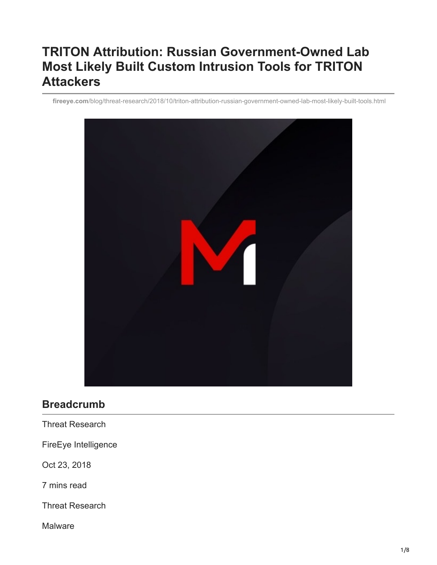# **TRITON Attribution: Russian Government-Owned Lab Most Likely Built Custom Intrusion Tools for TRITON Attackers**

**fireeye.com**[/blog/threat-research/2018/10/triton-attribution-russian-government-owned-lab-most-likely-built-tools.html](https://www.fireeye.com/blog/threat-research/2018/10/triton-attribution-russian-government-owned-lab-most-likely-built-tools.html)



# **Breadcrumb**

Threat Research

FireEye Intelligence

Oct 23, 2018

7 mins read

Threat Research

Malware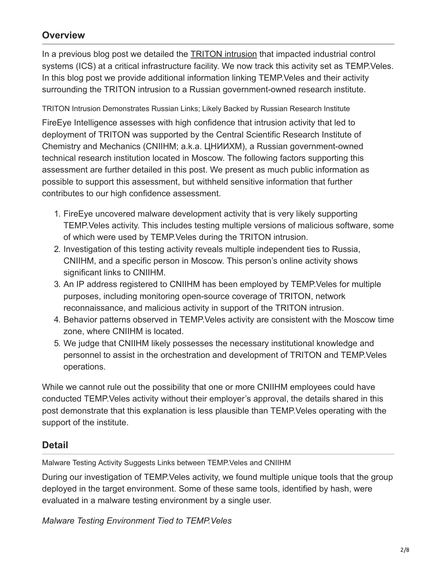## **Overview**

In a previous blog post we detailed the [TRITON intrusion](https://www.fireeye.com/blog/threat-research/2017/12/attackers-deploy-new-ics-attack-framework-triton.html) that impacted industrial control systems (ICS) at a critical infrastructure facility. We now track this activity set as TEMP.Veles. In this blog post we provide additional information linking TEMP.Veles and their activity surrounding the TRITON intrusion to a Russian government-owned research institute.

TRITON Intrusion Demonstrates Russian Links; Likely Backed by Russian Research Institute

FireEye Intelligence assesses with high confidence that intrusion activity that led to deployment of TRITON was supported by the Central Scientific Research Institute of Chemistry and Mechanics (CNIIHM; a.k.a. ЦНИИХМ), a Russian government-owned technical research institution located in Moscow. The following factors supporting this assessment are further detailed in this post. We present as much public information as possible to support this assessment, but withheld sensitive information that further contributes to our high confidence assessment.

- 1. FireEye uncovered malware development activity that is very likely supporting TEMP.Veles activity. This includes testing multiple versions of malicious software, some of which were used by TEMP.Veles during the TRITON intrusion.
- 2. Investigation of this testing activity reveals multiple independent ties to Russia, CNIIHM, and a specific person in Moscow. This person's online activity shows significant links to CNIIHM.
- 3. An IP address registered to CNIIHM has been employed by TEMP.Veles for multiple purposes, including monitoring open-source coverage of TRITON, network reconnaissance, and malicious activity in support of the TRITON intrusion.
- 4. Behavior patterns observed in TEMP.Veles activity are consistent with the Moscow time zone, where CNIIHM is located.
- 5. We judge that CNIIHM likely possesses the necessary institutional knowledge and personnel to assist in the orchestration and development of TRITON and TEMP.Veles operations.

While we cannot rule out the possibility that one or more CNIIHM employees could have conducted TEMP.Veles activity without their employer's approval, the details shared in this post demonstrate that this explanation is less plausible than TEMP.Veles operating with the support of the institute.

## **Detail**

Malware Testing Activity Suggests Links between TEMP.Veles and CNIIHM

During our investigation of TEMP.Veles activity, we found multiple unique tools that the group deployed in the target environment. Some of these same tools, identified by hash, were evaluated in a malware testing environment by a single user.

*Malware Testing Environment Tied to TEMP.Veles*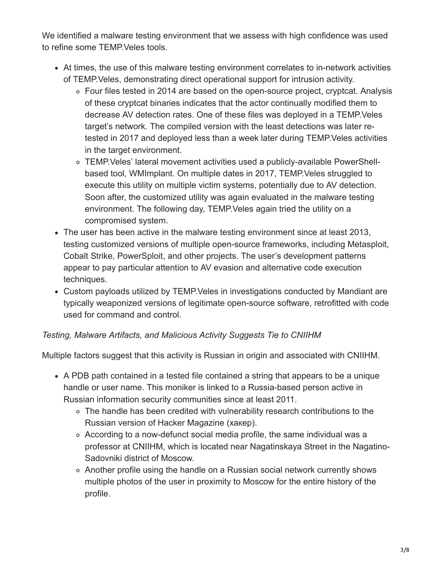We identified a malware testing environment that we assess with high confidence was used to refine some TEMP.Veles tools.

- At times, the use of this malware testing environment correlates to in-network activities of TEMP.Veles, demonstrating direct operational support for intrusion activity.
	- Four files tested in 2014 are based on the open-source project, cryptcat. Analysis of these cryptcat binaries indicates that the actor continually modified them to decrease AV detection rates. One of these files was deployed in a TEMP.Veles target's network. The compiled version with the least detections was later retested in 2017 and deployed less than a week later during TEMP.Veles activities in the target environment.
	- TEMP.Veles' lateral movement activities used a publicly-available PowerShellbased tool, WMImplant. On multiple dates in 2017, TEMP.Veles struggled to execute this utility on multiple victim systems, potentially due to AV detection. Soon after, the customized utility was again evaluated in the malware testing environment. The following day, TEMP.Veles again tried the utility on a compromised system.
- The user has been active in the malware testing environment since at least 2013, testing customized versions of multiple open-source frameworks, including Metasploit, Cobalt Strike, PowerSploit, and other projects. The user's development patterns appear to pay particular attention to AV evasion and alternative code execution techniques.
- Custom payloads utilized by TEMP.Veles in investigations conducted by Mandiant are typically weaponized versions of legitimate open-source software, retrofitted with code used for command and control.

### *Testing, Malware Artifacts, and Malicious Activity Suggests Tie to CNIIHM*

Multiple factors suggest that this activity is Russian in origin and associated with CNIIHM.

- A PDB path contained in a tested file contained a string that appears to be a unique handle or user name. This moniker is linked to a Russia-based person active in Russian information security communities since at least 2011.
	- The handle has been credited with vulnerability research contributions to the Russian version of Hacker Magazine (хакер).
	- According to a now-defunct social media profile, the same individual was a professor at CNIIHM, which is located near Nagatinskaya Street in the Nagatino-Sadovniki district of Moscow.
	- Another profile using the handle on a Russian social network currently shows multiple photos of the user in proximity to Moscow for the entire history of the profile.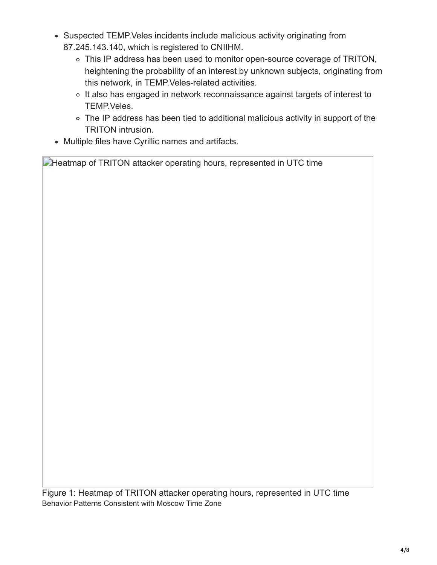- Suspected TEMP. Veles incidents include malicious activity originating from 87.245.143.140, which is registered to CNIIHM.
	- This IP address has been used to monitor open-source coverage of TRITON, heightening the probability of an interest by unknown subjects, originating from this network, in TEMP.Veles-related activities.
	- o It also has engaged in network reconnaissance against targets of interest to TEMP.Veles.
	- The IP address has been tied to additional malicious activity in support of the TRITON intrusion.
- Multiple files have Cyrillic names and artifacts.

**Heatmap of TRITON attacker operating hours, represented in UTC time** 

Figure 1: Heatmap of TRITON attacker operating hours, represented in UTC time Behavior Patterns Consistent with Moscow Time Zone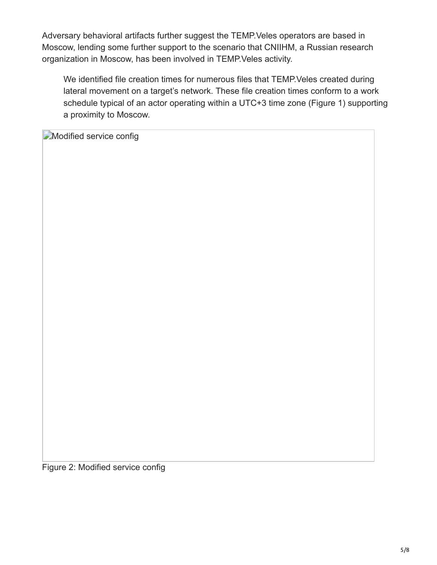Adversary behavioral artifacts further suggest the TEMP.Veles operators are based in Moscow, lending some further support to the scenario that CNIIHM, a Russian research organization in Moscow, has been involved in TEMP.Veles activity.

We identified file creation times for numerous files that TEMP.Veles created during lateral movement on a target's network. These file creation times conform to a work schedule typical of an actor operating within a UTC+3 time zone (Figure 1) supporting a proximity to Moscow.

**Modified service config** 

Figure 2: Modified service config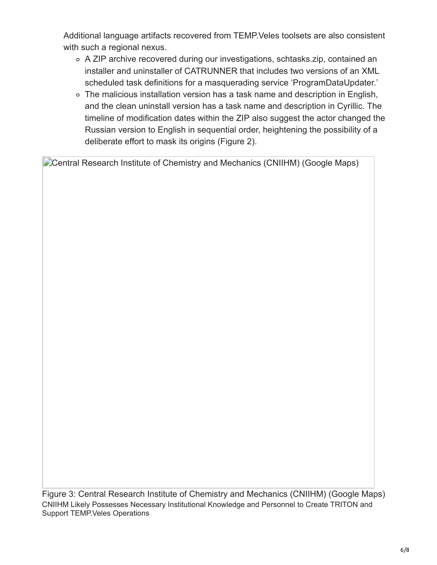Additional language artifacts recovered from TEMP.Veles toolsets are also consistent with such a regional nexus.

- A ZIP archive recovered during our investigations, schtasks.zip, contained an installer and uninstaller of CATRUNNER that includes two versions of an XML scheduled task definitions for a masquerading service 'ProgramDataUpdater.'
- The malicious installation version has a task name and description in English, and the clean uninstall version has a task name and description in Cyrillic. The timeline of modification dates within the ZIP also suggest the actor changed the Russian version to English in sequential order, heightening the possibility of a deliberate effort to mask its origins (Figure 2).

**Central Research Institute of Chemistry and Mechanics (CNIIHM) (Google Maps)** 

Figure 3: Central Research Institute of Chemistry and Mechanics (CNIIHM) (Google Maps) CNIIHM Likely Possesses Necessary Institutional Knowledge and Personnel to Create TRITON and Support TEMP.Veles Operations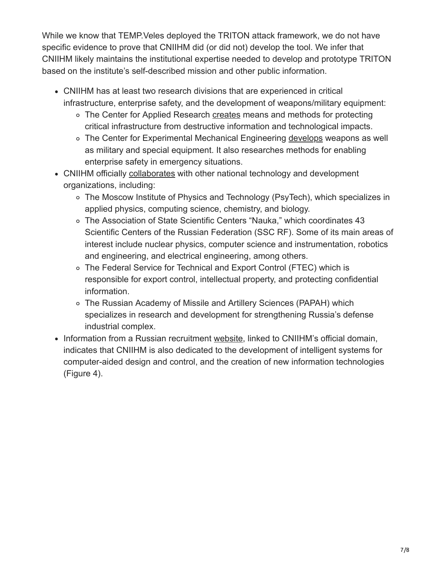While we know that TEMP.Veles deployed the TRITON attack framework, we do not have specific evidence to prove that CNIIHM did (or did not) develop the tool. We infer that CNIIHM likely maintains the institutional expertise needed to develop and prototype TRITON based on the institute's self-described mission and other public information.

- CNIIHM has at least two research divisions that are experienced in critical infrastructure, enterprise safety, and the development of weapons/military equipment:
	- The Center for Applied Research [creates](https://web.archive.org/web/20180216050244/http:/cniihm.ru:80/about/napravlenie/tspr/) means and methods for protecting critical infrastructure from destructive information and technological impacts.
	- The Center for Experimental Mechanical Engineering [develops](https://web.archive.org/web/20180205043945/http:/cniihm.ru:80/about/napravlenie/tsemash/) weapons as well as military and special equipment. It also researches methods for enabling enterprise safety in emergency situations.
- CNIIHM officially [collaborates](https://web.archive.org/web/20180317065353/http:/cniihm.ru/) with other national technology and development organizations, including:
	- The Moscow Institute of Physics and Technology (PsyTech), which specializes in applied physics, computing science, chemistry, and biology.
	- The Association of State Scientific Centers "Nauka," which coordinates 43 Scientific Centers of the Russian Federation (SSC RF). Some of its main areas of interest include nuclear physics, computer science and instrumentation, robotics and engineering, and electrical engineering, among others.
	- The Federal Service for Technical and Export Control (FTEC) which is responsible for export control, intellectual property, and protecting confidential information.
	- The Russian Academy of Missile and Artillery Sciences (PAPAH) which specializes in research and development for strengthening Russia's defense industrial complex.
- Information from a Russian recruitment [website](https://hh.ru/employer/920436), linked to CNIIHM's official domain, indicates that CNIIHM is also dedicated to the development of intelligent systems for computer-aided design and control, and the creation of new information technologies (Figure 4).